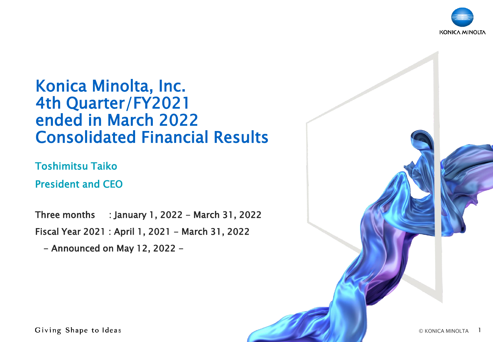

# Konica Minolta, Inc. 4th Quarter/FY2021 ended in March 2022 Consolidated Financial Results

Toshimitsu Taiko

President and CEO

Three months : January 1, 2022 - March 31, 2022 Fiscal Year 2021 : April 1, 2021 - March 31, 2022

- Announced on May 12, 2022 -

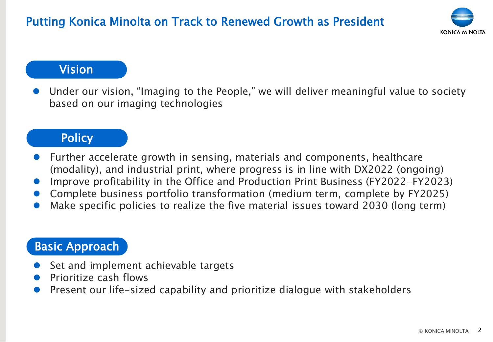

#### Vision

⚫ Under our vision, "Imaging to the People," we will deliver meaningful value to society based on our imaging technologies

#### **Policy**

- ⚫ Further accelerate growth in sensing, materials and components, healthcare (modality), and industrial print, where progress is in line with DX2022 (ongoing)
- ⚫ Improve profitability in the Office and Production Print Business (FY2022-FY2023)
- ⚫ Complete business portfolio transformation (medium term, complete by FY2025)
- Make specific policies to realize the five material issues toward 2030 (long term)

### Basic Approach

- ⚫ Set and implement achievable targets
- ⚫ Prioritize cash flows
- ⚫ Present our life-sized capability and prioritize dialogue with stakeholders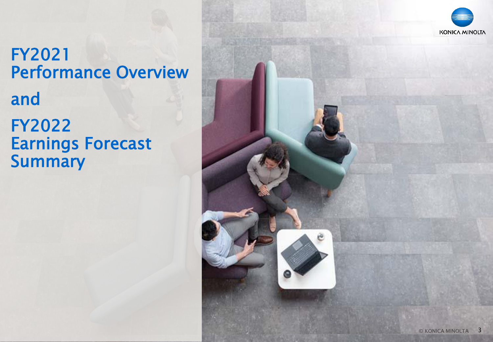# FY2021 Performance Overview FY2022 Earnings Forecast **Summary** and

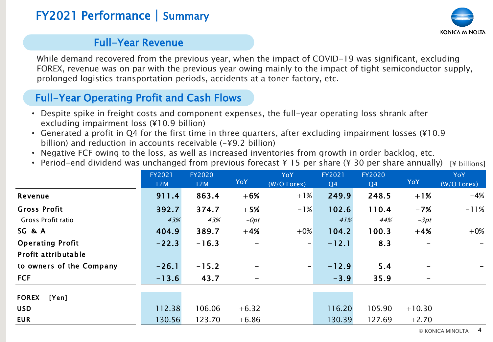# FY2021 Performance | Summary



#### Full-Year Revenue

While demand recovered from the previous year, when the impact of COVID-19 was significant, excluding FOREX, revenue was on par with the previous year owing mainly to the impact of tight semiconductor supply, prolonged logistics transportation periods, accidents at a toner factory, etc.

### Full-Year Operating Profit and Cash Flows

- Despite spike in freight costs and component expenses, the full-year operating loss shrank after excluding impairment loss (¥10.9 billion)
- Generated a profit in Q4 for the first time in three quarters, after excluding impairment losses (¥10.9 billion) and reduction in accounts receivable (-¥9.2 billion)
- Negative FCF owing to the loss, as well as increased inventories from growth in order backlog, etc.
- [¥ billions] • Period-end dividend was unchanged from previous forecast ¥ 15 per share (¥ 30 per share annually)

| billion) and reduction in accounts receivable $(-49.2 \text{ billion})$<br>• Negative FCF owing to the loss, as well as increased inventories from growth in order backlog, etc.<br>• Period-end dividend was unchanged from previous forecast $\angle$ 15 per share ( $\angle$ 30 per share annually) |               |               |              |                             |              |                     |            | [¥ billions]              |
|--------------------------------------------------------------------------------------------------------------------------------------------------------------------------------------------------------------------------------------------------------------------------------------------------------|---------------|---------------|--------------|-----------------------------|--------------|---------------------|------------|---------------------------|
|                                                                                                                                                                                                                                                                                                        | FY2021<br>12M | FY2020<br>12M | YoY          | <b>YoY</b><br>$(W/O$ Forex) | FY2021<br>Q4 | <b>FY2020</b><br>Q4 | <b>YoY</b> | <b>YoY</b><br>(W/O Forex) |
| Revenue                                                                                                                                                                                                                                                                                                | 911.4         | 863.4         | $+6%$        | $+1\%$                      | 249.9        | 248.5               | $+1%$      | $-4%$                     |
| <b>Gross Profit</b>                                                                                                                                                                                                                                                                                    | 392.7         | 374.7         | $+5%$        | $-1\%$                      | 102.6        | 110.4               | $-7%$      | $-11%$                    |
| Gross Profit ratio                                                                                                                                                                                                                                                                                     | 43%           | 43%           | $-\theta pt$ |                             | 41%          | 44%                 | $-3pt$     |                           |
| SG & A                                                                                                                                                                                                                                                                                                 | 404.9         | 389.7         | $+4%$        | $+0\%$                      | 104.2        | 100.3               | $+4%$      | $+0\%$                    |
| <b>Operating Profit</b>                                                                                                                                                                                                                                                                                | $-22.3$       | $-16.3$       |              | $\overline{\phantom{m}}$    | $-12.1$      | 8.3                 |            |                           |
| Profit attributable                                                                                                                                                                                                                                                                                    |               |               |              |                             |              |                     |            |                           |
| to owners of the Company                                                                                                                                                                                                                                                                               | $-26.1$       | $-15.2$       |              | $\overline{\phantom{m}}$    | $-12.9$      | 5.4                 |            |                           |
| <b>FCF</b>                                                                                                                                                                                                                                                                                             | $-13.6$       | 43.7          |              |                             | $-3.9$       | 35.9                |            |                           |
|                                                                                                                                                                                                                                                                                                        |               |               |              |                             |              |                     |            |                           |
| <b>FOREX</b><br>[Yen]                                                                                                                                                                                                                                                                                  |               |               |              |                             |              |                     |            |                           |
| <b>USD</b>                                                                                                                                                                                                                                                                                             | 112.38        | 106.06        | $+6.32$      |                             | 116.20       | 105.90              | $+10.30$   |                           |
| <b>EUR</b>                                                                                                                                                                                                                                                                                             | 130.56        | 123.70        | $+6.86$      |                             | 130.39       | 127.69              | $+2.70$    |                           |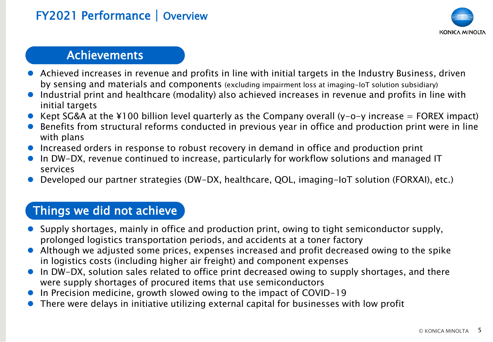# FY2021 Performance | Overview



### **Achievements**

- ⚫ Achieved increases in revenue and profits in line with initial targets in the Industry Business, driven by sensing and materials and components (excluding impairment loss at imaging-IoT solution subsidiary)
- ⚫ Industrial print and healthcare (modality) also achieved increases in revenue and profits in line with initial targets
- Kept SG&A at the ¥100 billion level quarterly as the Company overall (y-o-y increase = FOREX impact)
- Benefits from structural reforms conducted in previous year in office and production print were in line with plans
- Increased orders in response to robust recovery in demand in office and production print
- In DW-DX, revenue continued to increase, particularly for workflow solutions and managed IT services
- ⚫ Developed our partner strategies (DW-DX, healthcare, QOL, imaging-IoT solution (FORXAI), etc.)

### Things we did not achieve

- ⚫ Supply shortages, mainly in office and production print, owing to tight semiconductor supply, prolonged logistics transportation periods, and accidents at a toner factory
- Although we adjusted some prices, expenses increased and profit decreased owing to the spike in logistics costs (including higher air freight) and component expenses
- In DW-DX, solution sales related to office print decreased owing to supply shortages, and there were supply shortages of procured items that use semiconductors
- ⚫ In Precision medicine, growth slowed owing to the impact of COVID-19
- ⚫ There were delays in initiative utilizing external capital for businesses with low profit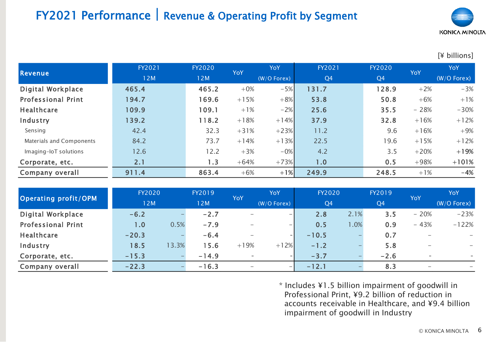# FY2021 Performance**|**Revenue & Operating Profit by Segment



#### [¥ billions]

| Revenue                   | FY2021 | FY2020 | <b>YoY</b> | YoY           | FY2021         | FY2020         | <b>YoY</b> | <b>YoY</b>    |
|---------------------------|--------|--------|------------|---------------|----------------|----------------|------------|---------------|
|                           | 12M    | 12M    |            | $(W/O$ Forex) | Q <sub>4</sub> | Q <sub>4</sub> |            | $(W/O$ Forex) |
| Digital Workplace         | 465.4  | 465.2  | $+0\%$     | $-5%$         | 131.7          | 128.9          | $+2%$      | $-3%$         |
| <b>Professional Print</b> | 194.7  | 169.6  | $+15%$     | $+8\%$        | 53.8           | 50.8           | $+6%$      | $+1%$         |
| <b>Healthcare</b>         | 109.9  | 109.1  | $+1%$      | $-2\%$        | 25.6           | 35.5           | $-28%$     | $-30%$        |
| Industry                  | 139.2  | 118.2  | $+18%$     | $+14%$        | 37.9           | 32.8           | $+16%$     | $+12%$        |
| Sensing                   | 42.4   | 32.3   | $+31%$     | $+23%$        | 11.2           | 9.6            | $+16%$     | $+9%$         |
| Materials and Components  | 84.2   | 73.7   | $+14%$     | $+13%$        | 22.5           | 19.6           | $+15%$     | $+12%$        |
| Imaging-IoT solutions     | 12.6   | 12.2   | $+3%$      | $-0\%$        | 4.2            | 3.5            | $+20%$     | $+19%$        |
| Corporate, etc.           | 2.1    | 1.3    | $+64%$     | $+73%$        | 1.0            | 0.5            | $+98%$     | $+101%$       |
| Company overall           | 911.4  | 863.4  | $+6%$      | $+1\%$        | 249.9          | 248.5          | $+1%$      | $-4%$         |

|                           | FY2020  |       | FY2019  | <b>YoY</b>               | YoY                          | FY2020         |      | FY2019         |                                                                          | YoY           |
|---------------------------|---------|-------|---------|--------------------------|------------------------------|----------------|------|----------------|--------------------------------------------------------------------------|---------------|
| Operating profit/OPM      | 12M     |       | 12M     |                          | $(W/O$ Forex)                | Q <sub>4</sub> |      | Q <sub>4</sub> | YoY<br>$-20%$<br>$-43%$<br>$\qquad \qquad -$<br>$\overline{\phantom{a}}$ | $(W/O$ Forex) |
| <b>Digital Workplace</b>  | $-6.2$  |       | $-2.7$  | -                        | $-$                          | 2.8            | 2.1% | 3.5            |                                                                          | $-23%$        |
| <b>Professional Print</b> | 1.0     | 0.5%  | $-7.9$  | $\overline{\phantom{0}}$ | $\qquad \qquad \blacksquare$ | 0.5            | .0%  | 0.9            |                                                                          | $-122%$       |
| Healthcare                | $-20.3$ |       | $-6.4$  | $\overline{\phantom{m}}$ |                              | $-10.5$        |      | 0.7            |                                                                          | $-$           |
| Industry                  | 18.5    | 13.3% | 15.6    | $+19%$                   | $+12%$                       | $-1.2$         |      | 5.8            |                                                                          |               |
| Corporate, etc.           | $-15.3$ |       | $-14.9$ | $\sim$                   |                              | $-3.7$         |      | $-2.6$         |                                                                          |               |
| Company overall           | $-22.3$ |       | $-16.3$ | $\qquad \qquad$          | $\overline{\phantom{0}}$     | $-12.1$        |      | 8.3            |                                                                          |               |

\* Includes ¥1.5 billion impairment of goodwill in Professional Print, ¥9.2 billion of reduction in accounts receivable in Healthcare, and ¥9.4 billion impairment of goodwill in Industry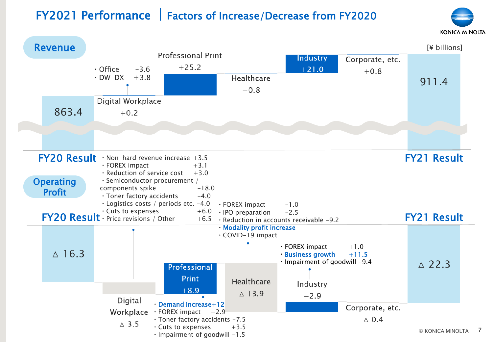# FY2021 Performance **|**Factors of Increase/Decrease from FY2020



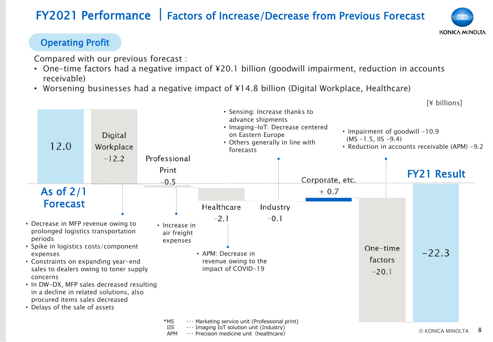# FY2021 Performance **|**Factors of Increase/Decrease from Previous Forecast

# **KONICA MINOLTA**

#### Operating Profit

Compared with our previous forecast :

- One-time factors had a negative impact of ¥20.1 billion (goodwill impairment, reduction in accounts receivable)
- Worsening businesses had a negative impact of ¥14.8 billion (Digital Workplace, Healthcare)

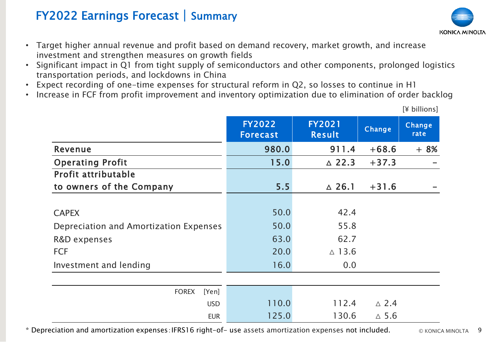## FY2022 Earnings Forecast | Summary

- Target higher annual revenue and profit based on demand recovery, market growth, and increase investment and strengthen measures on growth fields
- Significant impact in Q1 from tight supply of semiconductors and other components, prolonged logistics transportation periods, and lockdowns in China
- Expect recording of one-time expenses for structural reform in Q2, so losses to continue in H1
- Increase in FCF from profit improvement and inventory optimization due to elimination of order backlog

|                                        | <b>FY2022</b><br><b>Forecast</b> | <b>FY2021</b><br>Result | Change          | Change<br>rate |
|----------------------------------------|----------------------------------|-------------------------|-----------------|----------------|
| Revenue                                | 980.0                            | 911.4                   | $+68.6$         | $+8%$          |
| <b>Operating Profit</b>                | 15.0                             | $\triangle$ 22.3        | $+37.3$         |                |
| Profit attributable                    |                                  |                         |                 |                |
| to owners of the Company               | 5.5                              | $\triangle$ 26.1        | $+31.6$         |                |
|                                        |                                  |                         |                 |                |
| <b>CAPEX</b>                           | 50.0                             | 42.4                    |                 |                |
| Depreciation and Amortization Expenses | 50.0                             | 55.8                    |                 |                |
| R&D expenses                           | 63.0                             | 62.7                    |                 |                |
| <b>FCF</b>                             | 20.0                             | $\triangle$ 13.6        |                 |                |
| Investment and lending                 | 16.0                             | 0.0                     |                 |                |
|                                        |                                  |                         |                 |                |
| <b>FOREX</b><br>[Yen]                  |                                  |                         |                 |                |
| <b>USD</b>                             | 110.0                            | 112.4                   | $\triangle$ 2.4 |                |
| <b>EUR</b>                             | 125.0                            | 130.6                   | $\triangle$ 5.6 |                |

[¥ billions]

\* Depreciation and amortization expenses:IFRS16 right-of- use assets amortization expenses not included.

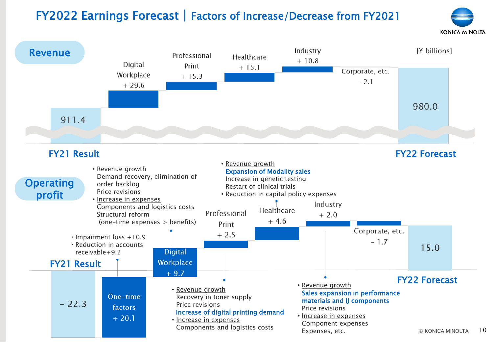# FY2022 Earnings Forecast | Factors of Increase/Decrease from FY2021



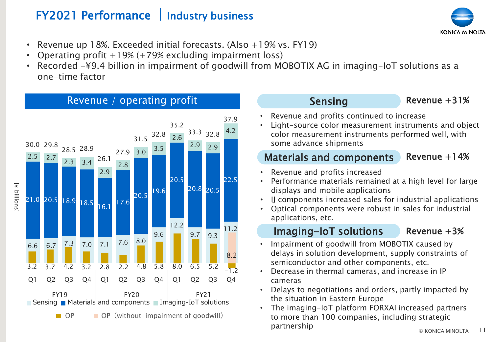# FY2021 Performance **|**Industry business

**KONICA MINOLTA** 

- Revenue up 18%. Exceeded initial forecasts. (Also  $+19\%$  vs. FY19)
- Operating profit  $+19%$  ( $+79%$  excluding impairment loss)
- Recorded -¥9.4 billion in impairment of goodwill from MOBOTIX AG in imaging-IoT solutions as a one-time factor



#### Sensing

Revenue +31%

- Revenue and profits continued to increase
- Light-source color measurement instruments and object color measurement instruments performed well, with some advance shipments

#### Revenue  $+14%$ Materials and components

- Revenue and profits increased
- Performance materials remained at a high level for large displays and mobile applications
- IJ components increased sales for industrial applications
- Optical components were robust in sales for industrial applications, etc.

#### Imaging-IoT solutions

Revenue  $+3%$ 

- Impairment of goodwill from MOBOTIX caused by delays in solution development, supply constraints of semiconductor and other components, etc.
- Decrease in thermal cameras, and increase in IP cameras
- Delays to negotiations and orders, partly impacted by the situation in Eastern Europe
- © KONICA MINOLTA • The imaging-IoT platform FORXAI increased partners to more than 100 companies, including strategic partnership and the second partnership and the second partnership and the second partnership and  $\sim$  11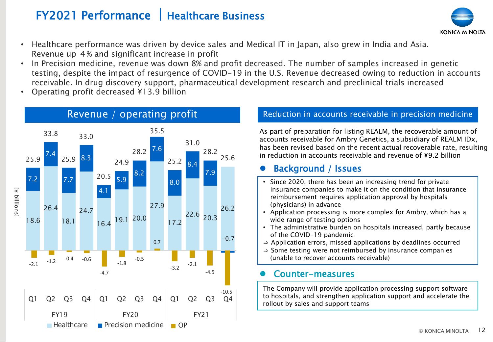## FY2021 Performance **|**Healthcare Business



- Healthcare performance was driven by device sales and Medical IT in Japan, also grew in India and Asia. Revenue up 4% and significant increase in profit
- In Precision medicine, revenue was down 8% and profit decreased. The number of samples increased in genetic testing, despite the impact of resurgence of COVID-19 in the U.S. Revenue decreased owing to reduction in accounts receivable. In drug discovery support, pharmaceutical development research and preclinical trials increased
- Operating profit decreased ¥13.9 billion



#### Revenue / operating profit Reduction in accounts receivable in precision medicine

As part of preparation for listing REALM, the recoverable amount of accounts receivable for Ambry Genetics, a subsidiary of REALM IDx, has been revised based on the recent actual recoverable rate, resulting in reduction in accounts receivable and revenue of ¥9.2 billion

#### ⚫ Background / Issues

- Since 2020, there has been an increasing trend for private insurance companies to make it on the condition that insurance reimbursement requires application approval by hospitals (physicians) in advance
- Application processing is more complex for Ambry, which has a wide range of testing options
- The administrative burden on hospitals increased, partly because of the COVID-19 pandemic
- ⇒ Application errors, missed applications by deadlines occurred
- ⇒ Some testing were not reimbursed by insurance companies (unable to recover accounts receivable)

#### ⚫ Counter-measures

The Company will provide application processing support software to hospitals, and strengthen application support and accelerate the rollout by sales and support teams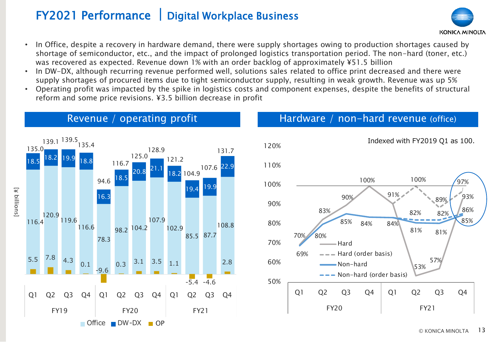## FY2021 Performance **|**Digital Workplace Business



- In Office, despite a recovery in hardware demand, there were supply shortages owing to production shortages caused by shortage of semiconductor, etc., and the impact of prolonged logistics transportation period. The non-hard (toner, etc.) was recovered as expected. Revenue down 1% with an order backlog of approximately ¥51.5 billion
- In DW-DX, although recurring revenue performed well, solutions sales related to office print decreased and there were supply shortages of procured items due to tight semiconductor supply, resulting in weak growth. Revenue was up 5%
- Operating profit was impacted by the spike in logistics costs and component expenses, despite the benefits of structural reform and some price revisions. ¥3.5 billion decrease in profit



#### Revenue / operating profit

#### Hardware / non-hard revenue (office)

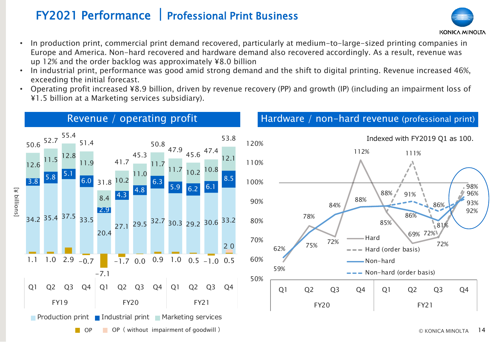# FY2021 Performance **|**Professional Print Business

- In production print, commercial print demand recovered, particularly at medium-to-large-sized printing companies in Europe and America. Non-hard recovered and hardware demand also recovered accordingly. As a result, revenue was up 12% and the order backlog was approximately ¥8.0 billion
- In industrial print, performance was good amid strong demand and the shift to digital printing. Revenue increased 46%, exceeding the initial forecast.
- Operating profit increased ¥8.9 billion, driven by revenue recovery (PP) and growth (IP) (including an impairment loss of ¥1.5 billion at a Marketing services subsidiary).



72%

81%

86%

69% 72%

86%

91%

111%

#### Revenue / operating profit Hardware / non-hard revenue (professional print)



96%

93%

92%

 $98%$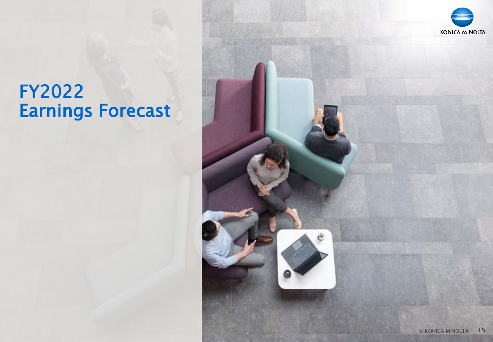# FY2022 Earnings Forecast

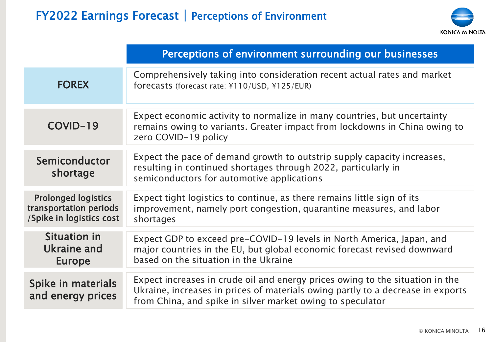![](_page_15_Picture_1.jpeg)

|                                                                                  | Perceptions of environment surrounding our businesses                                                                                                                                                                          |
|----------------------------------------------------------------------------------|--------------------------------------------------------------------------------------------------------------------------------------------------------------------------------------------------------------------------------|
| <b>FOREX</b>                                                                     | Comprehensively taking into consideration recent actual rates and market<br>forecasts (forecast rate: ¥110/USD, ¥125/EUR)                                                                                                      |
| COVID-19                                                                         | Expect economic activity to normalize in many countries, but uncertainty<br>remains owing to variants. Greater impact from lockdowns in China owing to<br>zero COVID-19 policy                                                 |
| Semiconductor<br>shortage                                                        | Expect the pace of demand growth to outstrip supply capacity increases,<br>resulting in continued shortages through 2022, particularly in<br>semiconductors for automotive applications                                        |
| <b>Prolonged logistics</b><br>transportation periods<br>/Spike in logistics cost | Expect tight logistics to continue, as there remains little sign of its<br>improvement, namely port congestion, quarantine measures, and labor<br>shortages                                                                    |
| Situation in<br>Ukraine and<br><b>Europe</b>                                     | Expect GDP to exceed pre-COVID-19 levels in North America, Japan, and<br>major countries in the EU, but global economic forecast revised downward<br>based on the situation in the Ukraine                                     |
| Spike in materials<br>and energy prices                                          | Expect increases in crude oil and energy prices owing to the situation in the<br>Ukraine, increases in prices of materials owing partly to a decrease in exports<br>from China, and spike in silver market owing to speculator |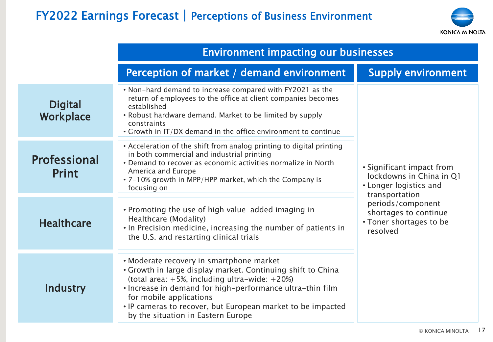# FY2022 Earnings Forecast | Perceptions of Business Environment

![](_page_16_Picture_1.jpeg)

|                              | <b>Environment impacting our businesses</b>                                                                                                                                                                                                                                                                                                                   |                                                                                                     |
|------------------------------|---------------------------------------------------------------------------------------------------------------------------------------------------------------------------------------------------------------------------------------------------------------------------------------------------------------------------------------------------------------|-----------------------------------------------------------------------------------------------------|
|                              | Perception of market / demand environment                                                                                                                                                                                                                                                                                                                     | <b>Supply environment</b>                                                                           |
| <b>Digital</b><br>Workplace  | • Non-hard demand to increase compared with FY2021 as the<br>return of employees to the office at client companies becomes<br>established<br>• Robust hardware demand. Market to be limited by supply<br>constraints<br>• Growth in IT/DX demand in the office environment to continue                                                                        |                                                                                                     |
| <b>Professional</b><br>Print | • Acceleration of the shift from analog printing to digital printing<br>in both commercial and industrial printing<br>• Demand to recover as economic activities normalize in North<br>America and Europe<br>• 7-10% growth in MPP/HPP market, which the Company is<br>focusing on                                                                            | • Significant impact from<br>lockdowns in China in Q1<br>• Longer logistics and                     |
| <b>Healthcare</b>            | • Promoting the use of high value-added imaging in<br>Healthcare (Modality)<br>. In Precision medicine, increasing the number of patients in<br>the U.S. and restarting clinical trials                                                                                                                                                                       | transportation<br>periods/component<br>shortages to continue<br>• Toner shortages to be<br>resolved |
| Industry                     | • Moderate recovery in smartphone market<br>• Growth in large display market. Continuing shift to China<br>(total area: $+5\%$ , including ultra-wide: $+20\%$ )<br>. Increase in demand for high-performance ultra-thin film<br>for mobile applications<br>. IP cameras to recover, but European market to be impacted<br>by the situation in Eastern Europe |                                                                                                     |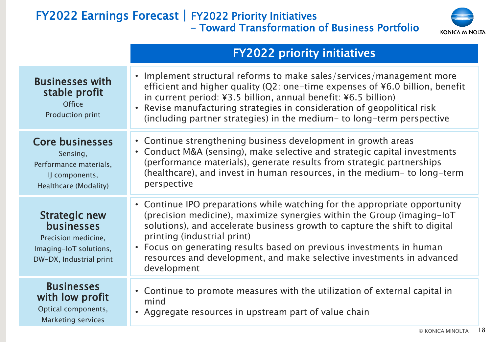#### FY2022 Earnings Forecast | FY2022 Priority Initiatives - Toward Transformation of Business Portfolio

![](_page_17_Picture_1.jpeg)

|                                                                                                                       | <b>FY2022 priority initiatives</b>                                                                                                                                                                                                                                                                                                                                                                                                 |
|-----------------------------------------------------------------------------------------------------------------------|------------------------------------------------------------------------------------------------------------------------------------------------------------------------------------------------------------------------------------------------------------------------------------------------------------------------------------------------------------------------------------------------------------------------------------|
| <b>Businesses with</b><br>stable profit<br><b>Office</b><br>Production print                                          | • Implement structural reforms to make sales/services/management more<br>efficient and higher quality (Q2: one-time expenses of ¥6.0 billion, benefit<br>in current period: ¥3.5 billion, annual benefit: ¥6.5 billion)<br>Revise manufacturing strategies in consideration of geopolitical risk<br>(including partner strategies) in the medium- to long-term perspective                                                         |
| <b>Core businesses</b><br>Sensing,<br>Performance materials,<br>IJ components,<br>Healthcare (Modality)               | • Continue strengthening business development in growth areas<br>• Conduct M&A (sensing), make selective and strategic capital investments<br>(performance materials), generate results from strategic partnerships<br>(healthcare), and invest in human resources, in the medium- to long-term<br>perspective                                                                                                                     |
| <b>Strategic new</b><br><b>businesses</b><br>Precision medicine,<br>Imaging-IoT solutions,<br>DW-DX, Industrial print | • Continue IPO preparations while watching for the appropriate opportunity<br>(precision medicine), maximize synergies within the Group (imaging-loT)<br>solutions), and accelerate business growth to capture the shift to digital<br>printing (industrial print)<br>• Focus on generating results based on previous investments in human<br>resources and development, and make selective investments in advanced<br>development |
| <b>Businesses</b><br>with low profit<br>Optical components,<br><b>Marketing services</b>                              | • Continue to promote measures with the utilization of external capital in<br>mind<br>• Aggregate resources in upstream part of value chain                                                                                                                                                                                                                                                                                        |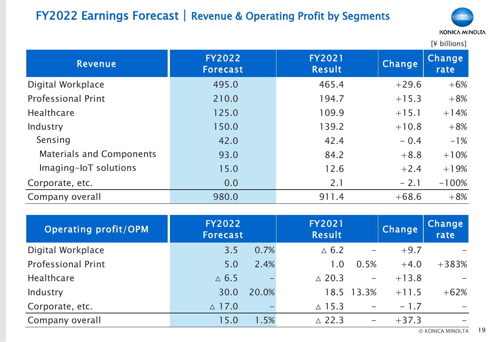# FY2022 Earnings Forecast | Revenue & Operating Profit by Segments

![](_page_18_Picture_1.jpeg)

| <b>Revenue</b>                  | <b>FY2022</b><br><b>Forecast</b> | <b>FY2021</b><br>Result | Change  | Change<br>rate |
|---------------------------------|----------------------------------|-------------------------|---------|----------------|
| Digital Workplace               | 495.0                            | 465.4                   | $+29.6$ | $+6%$          |
| <b>Professional Print</b>       | 210.0                            | 194.7                   | $+15.3$ | $+8%$          |
| <b>Healthcare</b>               | 125.0                            | 109.9                   | $+15.1$ | $+14%$         |
| Industry                        | 150.0                            | 139.2                   | $+10.8$ | $+8%$          |
| Sensing                         | 42.0                             | 42.4                    | $-0.4$  | $-1\%$         |
| <b>Materials and Components</b> | 93.0                             | 84.2                    | $+8.8$  | $+10%$         |
| Imaging-IoT solutions           | 15.0                             | 12.6                    | $+2.4$  | $+19%$         |
| Corporate, etc.                 | 0.0                              | 2.1                     | $-2.1$  | $-100%$        |
| Company overall                 | 980.0                            | 911.4                   | $+68.6$ | $+8%$          |

| <b>Operating profit/OPM</b> | <b>FY2022</b><br><b>Forecast</b> |       | <b>FY2021</b><br>Result |                          | <b>Change</b> | Change<br>rate |
|-----------------------------|----------------------------------|-------|-------------------------|--------------------------|---------------|----------------|
| Digital Workplace           | 3.5                              | 0.7%  | $\triangle$ 6.2         | $\overline{\phantom{0}}$ | $+9.7$        |                |
| <b>Professional Print</b>   | 5.0                              | 2.4%  | 1.0                     | 0.5%                     | $+4.0$        | $+383%$        |
| <b>Healthcare</b>           | $\triangle$ 6.5                  |       | $\triangle$ 20.3        | $\overline{\phantom{m}}$ | $+13.8$       |                |
| Industry                    | 30.0                             | 20.0% |                         | 18.5 13.3%               | $+11.5$       | $+62%$         |
| Corporate, etc.             | $\triangle$ 17.0                 |       | $\triangle$ 15.3        | $\overline{\phantom{m}}$ | $-1.7$        |                |
| Company overall             | 15.0                             | 1.5%  | $\triangle$ 22.3        | $\qquad \qquad -$        | $+37.3$       |                |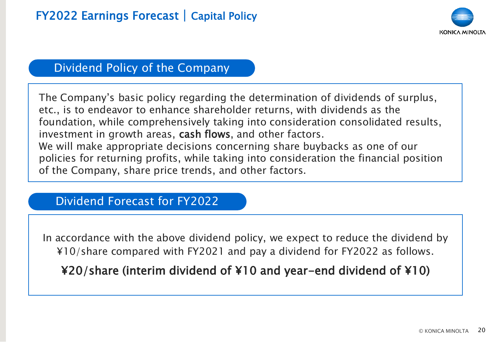![](_page_19_Picture_1.jpeg)

### Dividend Policy of the Company

The Company's basic policy regarding the determination of dividends of surplus, etc., is to endeavor to enhance shareholder returns, with dividends as the foundation, while comprehensively taking into consideration consolidated results, investment in growth areas, cash flows, and other factors. We will make appropriate decisions concerning share buybacks as one of our policies for returning profits, while taking into consideration the financial position of the Company, share price trends, and other factors.

### Dividend Forecast for FY2022

In accordance with the above dividend policy, we expect to reduce the dividend by ¥10/share compared with FY2021 and pay a dividend for FY2022 as follows.

¥20/share (interim dividend of ¥10 and year-end dividend of ¥10)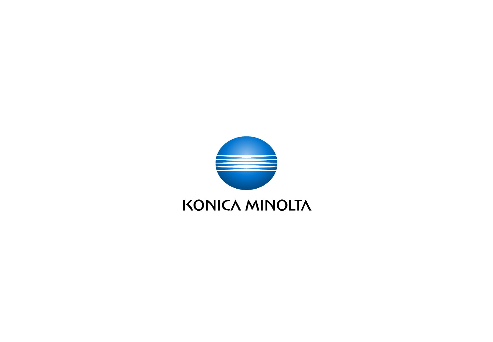![](_page_20_Picture_0.jpeg)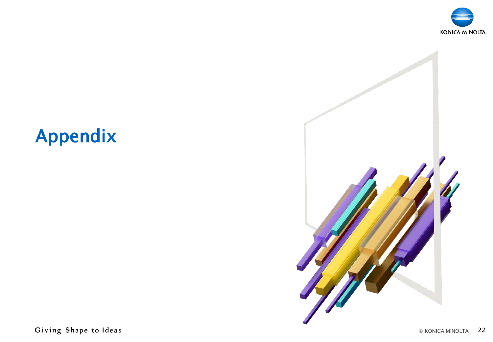![](_page_21_Picture_0.jpeg)

![](_page_21_Picture_1.jpeg)

# Appendix

Giving Shape to Ideas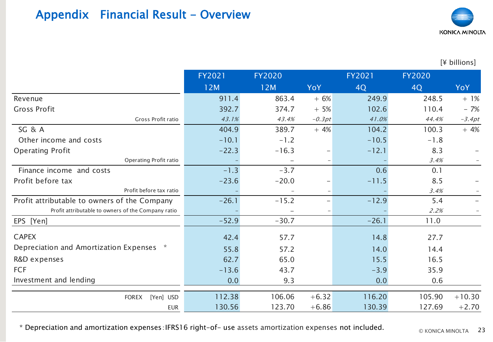## Appendix Financial Result - Overview

![](_page_22_Picture_1.jpeg)

[¥ billions]

|                                                    | FY2021  | <b>FY2020</b> |                          | FY2021  | <b>FY2020</b> |            |
|----------------------------------------------------|---------|---------------|--------------------------|---------|---------------|------------|
|                                                    | 12M     | 12M           | YoY                      | 4Q      | 4Q            | <b>YoY</b> |
| Revenue                                            | 911.4   | 863.4         | $+ 6%$                   | 249.9   | 248.5         | $+1%$      |
| <b>Gross Profit</b>                                | 392.7   | 374.7         | $+5%$                    | 102.6   | 110.4         | $-7%$      |
| Gross Profit ratio                                 | 43.1%   | 43.4%         | $-0.3pt$                 | 41.0%   | 44.4%         | $-3.4pt$   |
| SG & A                                             | 404.9   | 389.7         | $+4%$                    | 104.2   | 100.3         | $+4%$      |
| Other income and costs                             | $-10.1$ | $-1.2$        |                          | $-10.5$ | $-1.8$        |            |
| <b>Operating Profit</b>                            | $-22.3$ | $-16.3$       | -                        | $-12.1$ | 8.3           |            |
| Operating Profit ratio                             |         |               |                          |         | 3.4%          |            |
| Finance income and costs                           | $-1.3$  | $-3.7$        |                          | 0.6     | 0.1           |            |
| Profit before tax                                  | $-23.6$ | $-20.0$       |                          | $-11.5$ | 8.5           |            |
| Profit before tax ratio                            |         |               | $\overline{\phantom{m}}$ |         | 3.4%          |            |
| Profit attributable to owners of the Company       | $-26.1$ | $-15.2$       | $\overline{\phantom{m}}$ | $-12.9$ | 5.4           |            |
| Profit attributable to owners of the Company ratio |         |               | $\overline{\phantom{m}}$ |         | 2.2%          |            |
| EPS [Yen]                                          | $-52.9$ | $-30.7$       |                          | $-26.1$ | 11.0          |            |
| <b>CAPEX</b>                                       | 42.4    | 57.7          |                          | 14.8    | 27.7          |            |
| Depreciation and Amortization Expenses *           | 55.8    | 57.2          |                          | 14.0    | 14.4          |            |
| R&D expenses                                       | 62.7    | 65.0          |                          | 15.5    | 16.5          |            |
| <b>FCF</b>                                         | $-13.6$ | 43.7          |                          | $-3.9$  | 35.9          |            |
| Investment and lending                             | 0.0     | 9.3           |                          | 0.0     | 0.6           |            |
| FOREX [Yen] USD                                    | 112.38  | 106.06        | $+6.32$                  | 116.20  | 105.90        | $+10.30$   |
| <b>EUR</b>                                         | 130.56  | 123.70        | $+6.86$                  | 130.39  | 127.69        | $+2.70$    |

\* Depreciation and amortization expenses:IFRS16 right-of- use assets amortization expenses not included.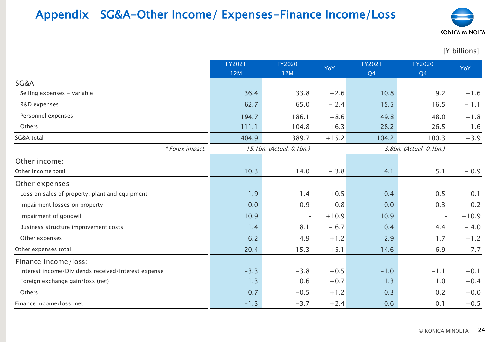## Appendix SG&A-Other Income/ Expenses-Finance Income/Loss

![](_page_23_Picture_1.jpeg)

|                                                     | FY2021 | <b>FY2020</b>            | YoY     | FY2021         | FY2020                   | YoY      |
|-----------------------------------------------------|--------|--------------------------|---------|----------------|--------------------------|----------|
|                                                     | 12M    | 12M                      |         | Q <sub>4</sub> | Q4                       |          |
| SG&A                                                |        |                          |         |                |                          |          |
| Selling expenses - variable                         | 36.4   | 33.8                     | $+2.6$  | 10.8           | 9.2                      | $+1.6$   |
| R&D expenses                                        | 62.7   | 65.0                     | $-2.4$  | 15.5           | 16.5                     | $-1.1$   |
| Personnel expenses                                  | 194.7  | 186.1                    | $+8.6$  | 49.8           | 48.0                     | $+1.8$   |
| Others                                              | 111.1  | 104.8                    | $+6.3$  | 28.2           | 26.5                     | $+1.6$   |
| SG&A total                                          | 404.9  | 389.7                    | $+15.2$ | 104.2          | 100.3                    | $+3.9$   |
| * Forex impact:                                     |        | 15.1bn. (Actual: 0.1bn.) |         |                | 3.8bn. (Actual: 0.1bn.)  |          |
| Other income:                                       |        |                          |         |                |                          |          |
| Other income total                                  | 10.3   | 14.0                     | $-3.8$  | 4.1            | 5.1                      | $-0.9$   |
| Other expenses                                      |        |                          |         |                |                          |          |
| Loss on sales of property, plant and equipment      | 1.9    | 1.4                      | $+0.5$  | 0.4            | 0.5                      | $-0.1$   |
| Impairment losses on property                       | 0.0    | 0.9                      | $-0.8$  | 0.0            | 0.3                      | $-0.2$   |
| Impairment of goodwill                              | 10.9   | $\overline{\phantom{a}}$ | $+10.9$ | 10.9           | $\overline{\phantom{a}}$ | $+10.9$  |
| Business structure improvement costs                | 1.4    | 8.1                      | $-6.7$  | 0.4            | 4.4                      | $-4.0$   |
| Other expenses                                      | 6.2    | 4.9                      | $+1.2$  | 2.9            | 1.7                      | $+1.2$   |
| Other expenses total                                | 20.4   | 15.3                     | $+5.1$  | 14.6           | 6.9                      | $+7.7$   |
| Finance income/loss:                                |        |                          |         |                |                          |          |
| Interest income/Dividends received/Interest expense | $-3.3$ | $-3.8$                   | $+0.5$  | $-1.0$         | $-1.1$                   | $+0.1$   |
| Foreign exchange gain/loss (net)                    | 1.3    | 0.6                      | $+0.7$  | 1.3            | 1.0                      | $+0.4$   |
| Others                                              | 0.7    | $-0.5$                   | $+1.2$  | 0.3            | 0.2                      | $+0.0\,$ |
| Finance income/loss, net                            | $-1.3$ | $-3.7$                   | $+2.4$  | 0.6            | 0.1                      | $+0.5$   |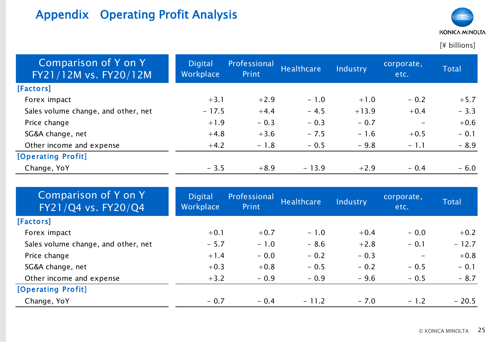# Appendix Operating Profit Analysis

![](_page_24_Picture_1.jpeg)

| Comparison of Y on Y<br>FY21/12M vs. FY20/12M | <b>Digital</b><br>Workplace | Professional<br>Print | Healthcare | Industry | corporate,<br>etc.           | <b>Total</b> |
|-----------------------------------------------|-----------------------------|-----------------------|------------|----------|------------------------------|--------------|
| [Factors]                                     |                             |                       |            |          |                              |              |
| Forex impact                                  | $+3.1$                      | $+2.9$                | $-1.0$     | $+1.0$   | $-0.2$                       | $+5.7$       |
| Sales volume change, and other, net           | $-17.5$                     | $+4.4$                | $-4.5$     | $+13.9$  | $+0.4$                       | $-3.3$       |
| Price change                                  | $+1.9$                      | $-0.3$                | $-0.3$     | $-0.7$   | $\qquad \qquad \blacksquare$ | $+0.6$       |
| SG&A change, net                              | $+4.8$                      | $+3.6$                | $-7.5$     | $-1.6$   | $+0.5$                       | $-0.1$       |
| Other income and expense                      | $+4.2$                      | $-1.8$                | $-0.5$     | $-9.8$   | $-1.1$                       | $-8.9$       |
| [Operating Profit]                            |                             |                       |            |          |                              |              |
| Change, YoY                                   | $-3.5$                      | $+8.9$                | $-13.9$    | $+2.9$   | $-0.4$                       | $-6.0$       |

| Comparison of Y on Y<br>FY21/Q4 vs. FY20/Q4 | <b>Digital</b><br>Workplace | Professional<br>Print | <b>Healthcare</b> | Industry | corporate,<br>etc.       | <b>Total</b> |
|---------------------------------------------|-----------------------------|-----------------------|-------------------|----------|--------------------------|--------------|
| [Factors]                                   |                             |                       |                   |          |                          |              |
| Forex impact                                | $+0.1$                      | $+0.7$                | $-1.0$            | $+0.4$   | $-0.0$                   | $+0.2$       |
| Sales volume change, and other, net         | $-5.7$                      | $-1.0$                | $-8.6$            | $+2.8$   | $-0.1$                   | $-12.7$      |
| Price change                                | $+1.4$                      | $-0.0$                | $-0.2$            | $-0.3$   | $\overline{\phantom{a}}$ | $+0.8$       |
| SG&A change, net                            | $+0.3$                      | $+0.8$                | $-0.5$            | $-0.2$   | $-0.5$                   | $-0.1$       |
| Other income and expense                    | $+3.2$                      | $-0.9$                | $-0.9$            | $-9.6$   | $-0.5$                   | $-8.7$       |
| [Operating Profit]                          |                             |                       |                   |          |                          |              |
| Change, YoY                                 | $-0.7$                      | $-0.4$                | $-11.2$           | $-7.0$   | $-1.2$                   | $-20.5$      |
|                                             |                             |                       |                   |          |                          |              |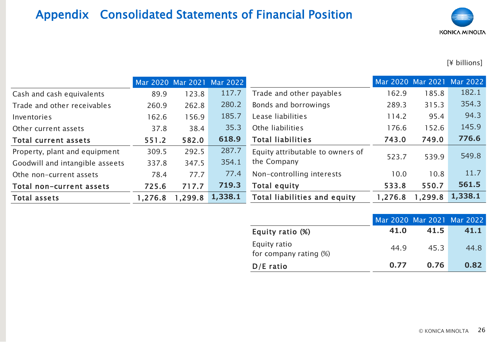# Appendix Consolidated Statements of Financial Position

![](_page_25_Picture_1.jpeg)

|                                 |         |         | Mar 2020 Mar 2021 Mar 2022 |                                  |         |         | Mar 2020 Mar 2021 Mar 2022 |
|---------------------------------|---------|---------|----------------------------|----------------------------------|---------|---------|----------------------------|
| Cash and cash equivalents       | 89.9    | 123.8   | 117.7                      | Trade and other payables         | 162.9   | 185.8   | 182.1                      |
| Trade and other receivables     | 260.9   | 262.8   | 280.2                      | Bonds and borrowings             | 289.3   | 315.3   | 354.3                      |
| Inventories                     | 162.6   | 156.9   | 185.7                      | Lease liabilities                | 114.2   | 95.4    | 94.3                       |
| Other current assets            | 37.8    | 38.4    | 35.3                       | Othe liabilities                 | 176.6   | 152.6   | 145.9                      |
| Total current assets            | 551.2   | 582.0   | 618.9                      | <b>Total liabilities</b>         | 743.0   | 749.0   | 776.6                      |
| Property, plant and equipment   | 309.5   | 292.5   | 287.7                      | Equity attributable to owners of | 523.7   | 539.9   | 549.8                      |
| Goodwill and intangible asseets | 337.8   | 347.5   | 354.1                      | the Company                      |         |         |                            |
| Othe non-current assets         | 78.4    | 77.7    | 77.4                       | Non-controlling interests        | 10.0    | 10.8    | 11.7                       |
| Total non-current assets        | 725.6   | 717.7   | 719.3                      | Total equity                     | 533.8   | 550.7   | 561.5                      |
| <b>Total assets</b>             | 1,276.8 | 1,299.8 | 1,338.1                    | Total liabilities and equity     | 1,276.8 | 1,299.8 | 1,338.1                    |

|                                        |      |      | Mar 2020 Mar 2021 Mar 2022 |
|----------------------------------------|------|------|----------------------------|
| Equity ratio (%)                       | 41.0 | 41.5 | 41.1                       |
| Equity ratio<br>for company rating (%) | 44.9 | 45.3 | 44.8                       |
| $D/E$ ratio                            | 0.77 | 0.76 | 0.82                       |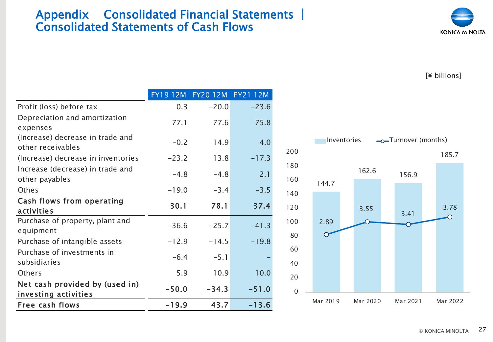#### Appendix Consolidated Financial Statements **|** Consolidated Statements of Cash Flows

![](_page_26_Picture_1.jpeg)

|                                                        |         | FY1912M FY2012M FY2112M |         |
|--------------------------------------------------------|---------|-------------------------|---------|
| Profit (loss) before tax                               | 0.3     | $-20.0$                 | $-23.6$ |
| Depreciation and amortization<br>expenses              | 77.1    | 77.6                    | 75.8    |
| (Increase) decrease in trade and<br>other receivables  | $-0.2$  | 14.9                    | 4.0     |
| (Increase) decrease in inventories                     | $-23.2$ | 13.8                    | $-17.3$ |
| Increase (decrease) in trade and<br>other payables     | $-4.8$  | $-4.8$                  | 2.1     |
| <b>Othes</b>                                           | $-19.0$ | $-3.4$                  | $-3.5$  |
| Cash flows from operating<br>activities                | 30.1    | 78.1                    | 37.4    |
| Purchase of property, plant and<br>equipment           | $-36.6$ | $-25.7$                 | $-41.3$ |
| Purchase of intangible assets                          | $-12.9$ | $-14.5$                 | $-19.8$ |
| Purchase of investments in<br>subsidiaries             | $-6.4$  | $-5.1$                  |         |
| Others                                                 | 5.9     | 10.9                    | 10.0    |
| Net cash provided by (used in)<br>investing activities | $-50.0$ | $-34.3$                 | $-51.0$ |
| Free cash flows                                        | $-19.9$ | 43.7                    | $-13.6$ |

![](_page_26_Figure_4.jpeg)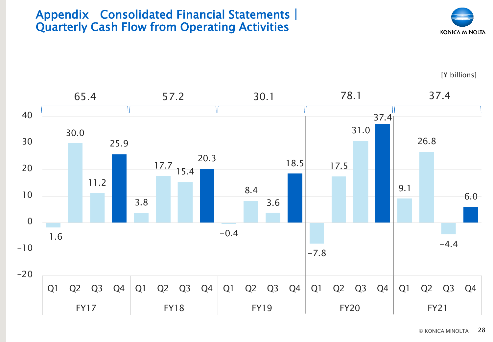#### Appendix Consolidated Financial Statements**|** Quarterly Cash Flow from Operating Activities

![](_page_27_Picture_1.jpeg)

![](_page_27_Figure_3.jpeg)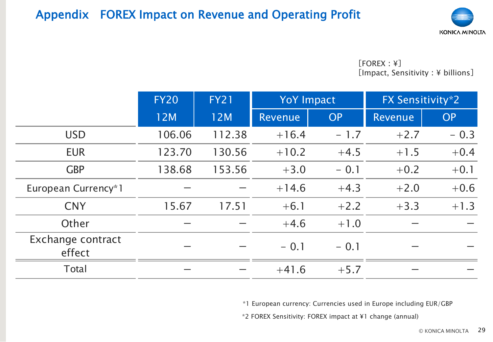### Appendix FOREX Impact on Revenue and Operating Profit

![](_page_28_Picture_1.jpeg)

[FOREX:¥] [Impact, Sensitivity: ¥ billions]

|                             | <b>FY20</b> | <b>FY21</b> | <b>YoY Impact</b> |           | FX Sensitivity*2 |           |
|-----------------------------|-------------|-------------|-------------------|-----------|------------------|-----------|
|                             | 12M         | 12M         | Revenue           | <b>OP</b> | Revenue          | <b>OP</b> |
| <b>USD</b>                  | 106.06      | 112.38      | $+16.4$           | $-1.7$    | $+2.7$           | $-0.3$    |
| <b>EUR</b>                  | 123.70      | 130.56      | $+10.2$           | $+4.5$    | $+1.5$           | $+0.4$    |
| <b>GBP</b>                  | 138.68      | 153.56      | $+3.0$            | $-0.1$    | $+0.2$           | $+0.1$    |
| European Currency*1         |             |             | $+14.6$           | $+4.3$    | $+2.0$           | $+0.6$    |
| <b>CNY</b>                  | 15.67       | 17.51       | $+6.1$            | $+2.2$    | $+3.3$           | $+1.3$    |
| Other                       |             |             | $+4.6$            | $+1.0$    |                  |           |
| Exchange contract<br>effect |             |             | $-0.1$            | $-0.1$    |                  |           |
| Total                       |             |             | $+41.6$           | $+5.7$    |                  |           |

\*1 European currency: Currencies used in Europe including EUR/GBP

\*2 FOREX Sensitivity: FOREX impact at ¥1 change (annual)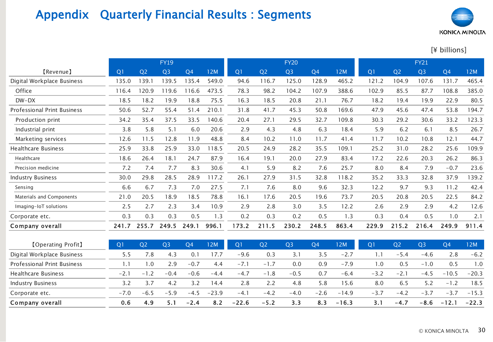# Appendix Quarterly Financial Results : Segments

![](_page_29_Picture_1.jpeg)

| <b>Appendix</b>                    | <b>Quarterly Financial Results: Segments</b> |                |                |                |       |                |                |                |                |            |                |                |                |                |        |
|------------------------------------|----------------------------------------------|----------------|----------------|----------------|-------|----------------|----------------|----------------|----------------|------------|----------------|----------------|----------------|----------------|--------|
|                                    |                                              |                |                |                |       |                |                |                |                |            |                |                |                | KONICA MINOLT/ |        |
|                                    |                                              |                |                |                |       |                |                |                |                |            |                |                |                | [¥ billions]   |        |
|                                    |                                              |                | <b>FY19</b>    |                |       |                |                | <b>FY20</b>    |                |            |                |                | <b>FY21</b>    |                |        |
| [Revenue]                          | Q <sub>1</sub>                               | Q <sub>2</sub> | Q <sub>3</sub> | Q <sub>4</sub> | 12M   | Q <sub>1</sub> | Q <sub>2</sub> | Q <sub>3</sub> | Q <sub>4</sub> | 12M        | Q <sub>1</sub> | Q <sub>2</sub> | Q <sub>3</sub> | Q <sub>4</sub> | 12M    |
| Digital Workplace Business         | 135.0                                        | 139.1          | 139.5          | 135.4          | 549.0 | 94.6           | 116.7          | 125.0          | 128.9          | 465.2      | 121.2          | 104.9          | 107.6          | 131.7          | 465.4  |
| Office                             | 116.4                                        | 120.9          | 119.6          | 116.6          | 473.5 | 78.3           | 98.2           | 104.2          | 107.9          | 388.6      | 102.9          | 85.5           | 87.7           | 108.8          | 385.0  |
| $DW-DX$                            | 18.5                                         | 18.2           | 19.9           | 18.8           | 75.5  | 16.3           | 18.5           | 20.8           | 21.1           | 76.7       | 18.2           | 19.4           | 19.9           | 22.9           | 80.5   |
| <b>Professional Print Business</b> | 50.6                                         | 52.7           | 55.4           | 51.4           | 210.1 | 31.8           | 41.7           | 45.3           | 50.8           | 169.6      | 47.9           | 45.6           | 47.4           | 53.8           | 194.7  |
| Production print                   | 34.2                                         | 35.4           | 37.5           | 33.5           | 140.6 | 20.4           | 27.1           | 29.5           | 32.7           | 109.8      | 30.3           | 29.2           | 30.6           | 33.2           | 123.3  |
| Industrial print                   | 3.8                                          | 5.8            | 5.1            | 6.0            | 20.6  | 2.9            | 4.3            | 4.8            | 6.3            | 18.4       | 5.9            | 6.2            | 6.1            | 8.5            | 26.7   |
| Marketing services                 | 12.6                                         | 11.5           | 12.8           | 11.9           | 48.8  | 8.4            | 10.2           | 11.0           | 11.7           | 41.4       | 11.7           | 10.2           | 10.8           | 12.1           | 44.7   |
| <b>Healthcare Business</b>         | 25.9                                         | 33.8           | 25.9           | 33.0           | 118.5 | 20.5           | 24.9           | 28.2           | 35.5           | 109.1      | 25.2           | 31.0           | 28.2           | 25.6           | 109.9  |
| Healthcare                         | 18.6                                         | 26.4           | 18.1           | 24.7           | 87.9  | 16.4           | 19.1           | 20.0           | 27.9           | 83.4       | 17.2           | 22.6           | 20.3           | 26.2           | 86.3   |
| Precision medicine                 | 7.2                                          | 7.4            | 7.7            | 8.3            | 30.6  | 4.1            | 5.9            | 8.2            | 7.6            | 25.7       | 8.0            | 8.4            | 7.9            | $-0.7$         | 23.6   |
| <b>Industry Business</b>           | 30.0                                         | 29.8           | 28.5           | 28.9           | 117.2 | 26.1           | 27.9           | 31.5           | 32.8           | 118.2      | 35.2           | 33.3           | 32.8           | 37.9           | 139.2  |
| Sensing                            | 6.6                                          | 6.7            | 7.3            | 7.0            | 27.5  | 7.1            | 7.6            | 8.0            | 9.6            | 32.3       | 12.2           | 9.7            | 9.3            | 11.2           | 42.4   |
| Materials and Components           | 21.0                                         | 20.5           | 18.9           | 18.5           | 78.8  | 16.1           | 17.6           | 20.5           | 19.6           | 73.7       | 20.5           | 20.8           | 20.5           | 22.5           | 84.2   |
| Imaging-IoT solutions              | 2.5                                          | 2.7            | 2.3            | 3.4            | 10.9  | 2.9            | 2.8            | 3.0            | 3.5            | 12.2       | 2.6            | 2.9            | 2.9            | 4.2            | 12.6   |
| Corporate etc.                     | 0.3                                          | 0.3            | 0.3            | 0.5            | 1.3   | 0.2            | 0.3            | 0.2            | 0.5            | 1.3        | 0.3            | 0.4            | 0.5            | 1.0            | 2.1    |
| Company overall                    | 241.7                                        | 255.7          | 249.5          | 249.1          | 996.1 | 173.2          | 211.5          | 230.2          | 248.5          | 863.4      | 229.9          | 215.2          | 216.4          | 249.9          | 911.4  |
| <b>[Operating Profit]</b>          | Q <sub>1</sub>                               | Q <sub>2</sub> | Q <sub>3</sub> | Q <sub>4</sub> | 12M   | Q <sub>1</sub> | Q <sub>2</sub> | Q <sub>3</sub> | Q <sub>4</sub> | <b>12M</b> | Q1             | Q <sub>2</sub> | Q <sub>3</sub> | Q <sub>4</sub> | 12M    |
| Digital Workplace Business         | 5.5                                          | 7.8            | 4.3            | 0.1            | 17.7  | $-9.6$         | 0.3            | 3.1            | 3.5            | $-2.7$     | 1.1            | $-5.4$         | $-4.6$         | 2.8            | $-6.2$ |

| [Operating Profit]                 |        | 32                       |        | Q4     | 12M     | IQ I    | Q <sub>2</sub> | IQ3    | Q4,    | 12M     |        |        | Q3         |         | 12M     |
|------------------------------------|--------|--------------------------|--------|--------|---------|---------|----------------|--------|--------|---------|--------|--------|------------|---------|---------|
| Digital Workplace Business         | 5.5    | .8                       | 4.3    |        | 17.7    | -9.6    | 0.3            | 3. I   | 3.5    | $-2.1$  | 1.1    | $-5.4$ | $-4.6$     | 2.8     | $-6.2$  |
| <b>Professional Print Business</b> |        | .0                       | 2.9    | $-0.7$ | 4.4     | $-7.$   | $-1.7$         | 0.0    | 0.9    | $-7.9$  | 1.0    | 0.5    | 0.1<br>- 1 | 0.5     | .0      |
| Healthcare Business                | $-2.1$ | $\overline{\phantom{0}}$ | $-0.4$ | $-0.6$ | $-4.4$  | $-4.7$  | $-1.8$         | $-0.5$ | 0.7    | $-6.4$  | -3.2   | $-2.1$ | $-4.5$     | $-10.5$ | $-20.3$ |
| <b>Industry Business</b>           | 3.2    |                          | 4.2    | 3.2    | 14.4    | 2.8     | 2.2            | 4.8    | 5.8    | l 5.6   | 8.0    | 6.5    | 5.2        | $-1.2$  | 18.5    |
| Corporate etc.                     | $-7.0$ | $-6.5$                   | $-59$  | $-45$  | $-23.9$ | $-4.$   | $-4.2$         | $-4.0$ | $-2.6$ | $-14.9$ | $-3.7$ | $-4.2$ | $-3.7$     | -3.,    | $-15.3$ |
| Company overall                    | 0.6    | 4.9                      |        | $-2.4$ | 8.2     | $-22.6$ | $-5.2$         | 3.3    | 8.3    | $-16.3$ | 3.1    | $-4.7$ | $-8.6$     | $-12.1$ | $-22.3$ |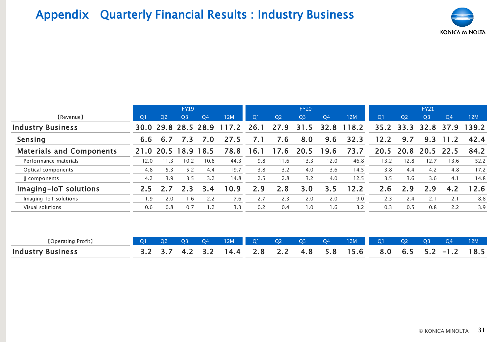# Appendix Quarterly Financial Results : Industry Business

![](_page_30_Picture_1.jpeg)

|                                 |                |                | <b>FY19</b>    |                |       |                |                | <b>FY20</b>    |                |       |                |                | <b>FY21</b>    |                |       |
|---------------------------------|----------------|----------------|----------------|----------------|-------|----------------|----------------|----------------|----------------|-------|----------------|----------------|----------------|----------------|-------|
| [Revenue]                       | Q <sub>1</sub> | Q <sub>2</sub> | Q <sub>3</sub> | Q <sub>4</sub> | 12M   | Q <sub>1</sub> | Q <sub>2</sub> | Q <sub>3</sub> | Q <sub>4</sub> | 12M   | Q <sub>1</sub> | Q <sub>2</sub> | Q <sub>3</sub> | Q <sub>4</sub> | 12M   |
| <b>Industry Business</b>        |                | 30.0 29.8      |                | 28.5 28.9      | 117.2 | 26.1           | 27.9           | 31.5           | 32.8           | 118.2 | 35.2           | 33.3           | 32.8           | 37.9           | 139.2 |
| Sensing                         | 6.6            | 6.7            | 7.3            | 7.0            | 27.5  | 7.1            | 7.6            | 8.0            | 9.6            | 32.3  | 12.2           | 9.7            | 9.3            | 11.2           | 42.4  |
| <b>Materials and Components</b> |                | 21.0 20.5      | 18.9 18.5      |                | 78.8  | 16.1           | 17.6           | 20.5           | 19.6           | 73.7  | 20.5           | 20.8           |                | 20.5 22.5      | 84.2  |
| Performance materials           | 12.0           | 11.3           | 10.2           | 10.8           | 44.3  | 9.8            | 11.6           | 13.3           | 12.0           | 46.8  | 13.2           | 12.8           | 12.7           | 13.6           | 52.2  |
| Optical components              | 4.8            | 5.3            | 5.2            | 4.4            | 19.7  | 3.8            | 3.2            | 4.0            | 3.6            | 14.5  | 3.8            | 4.4            | 4.2            | 4.8            | 17.2  |
| Il components                   | 4.2            | 3.9            | 3.5            | 3.2            | 14.8  | 2.5            | 2.8            | 3.2            | 4.0            | 12.5  | 3.5            | 3.6            | 3.6            | 4.1            | 14.8  |
| Imaging-IoT solutions           | 2.5            | 2.7            | 2.3            | 3.4            | 10.9  | 2.9            | 2.8            | 3.0            | 3.5            | 12.2  | 2.6            | 2.9            | 2.9            | 4.2            | 12.6  |
| Imaging-IoT solutions           | 1.9            | 2.0            | 1.6            | 2.2            | 7.6   | 2.7            | 2.3            | 2.0            | 2.0            | 9.0   | 2.3            | 2.4            | 2.1            | 2.1            | 8.8   |
| Visual solutions                | 0.6            | 0.8            | 0.7            | 1.2            | 3.3   | 0.2            | 0.4            | 1.0            | 1.6            | 3.2   | 0.3            | 0.5            | 0.8            | 2.2            | 3.9   |
|                                 |                |                |                |                |       |                |                |                |                |       |                |                |                |                |       |
|                                 |                |                |                |                |       |                |                |                |                |       |                |                |                |                |       |
| <b>[Operating Profit]</b>       | Q1             | Q <sub>2</sub> | Q3             | Q <sub>4</sub> | 12M   | Q <sub>1</sub> | Q <sub>2</sub> | Q <sub>3</sub> | Q <sub>4</sub> | 12M   | Q1             | Q <sub>2</sub> | Q <sub>3</sub> | Q <sub>4</sub> | 12M   |
| <b>Industry Business</b>        | 3.2            | 3.7            | 4.2            | 3.2            | 14.4  | 2.8            | 2.2            | 4.8            | 5.8            | 15.6  | 8.0            | 6.5            | 5.2            | $-1.2$         | 18.5  |

| (Operating<br>・Profit,   |  | O3         | - O4      | 12M | $\overline{O}$ | O <sub>2</sub> | O <sub>3</sub> | Q4 | 12M                                          | O <sub>2</sub> | O3 |      |
|--------------------------|--|------------|-----------|-----|----------------|----------------|----------------|----|----------------------------------------------|----------------|----|------|
| <b>Industry Business</b> |  | $\sqrt{a}$ | $\prec$ ) |     |                |                |                |    | $14.4$ 2.8 2.2 4.8 5.8 15.6 8.0 6.5 5.2 -1.2 |                |    | 18.5 |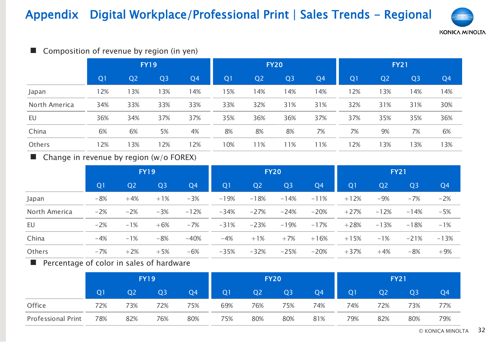# Appendix Digital Workplace/Professional Print | Sales Trends - Regional

![](_page_31_Picture_1.jpeg)

| Composition of revenue by region (in yen)<br><b>Contract</b> |                |                |                |                |                |                |                |                |                |                |                | <b>KONICA</b>  |
|--------------------------------------------------------------|----------------|----------------|----------------|----------------|----------------|----------------|----------------|----------------|----------------|----------------|----------------|----------------|
|                                                              |                |                | <b>FY19</b>    |                |                |                | <b>FY20</b>    |                |                |                | <b>FY21</b>    |                |
|                                                              | Q <sub>1</sub> | Q <sub>2</sub> | Q <sub>3</sub> | Q <sub>4</sub> | Q <sub>1</sub> | Q <sub>2</sub> | Q <sub>3</sub> | Q <sub>4</sub> | Q <sub>1</sub> | Q <sub>2</sub> | Q <sub>3</sub> | Q <sub>4</sub> |
| Japan                                                        | 12%            | 13%            | 13%            | 14%            | 15%            | 14%            | 14%            | 14%            | 12%            | 13%            | 14%            | 14%            |
| North America                                                | 34%            | 33%            | 33%            | 33%            | 33%            | 32%            | 31%            | 31%            | 32%            | 31%            | 31%            | 30%            |
| EU                                                           | 36%            | 34%            | 37%            | 37%            | 35%            | 36%            | 36%            | 37%            | 37%            | 35%            | 35%            | 36%            |
| China                                                        | 6%             | 6%             | 5%             | 4%             | 8%             | 8%             | 8%             | 7%             | 7%             | 9%             | 7%             | 6%             |
| Others                                                       | 12%            | 3%             | 12%            | 12%            | 10%            | 11%            | 11%            | 11%            | 12%            | 13%            | 13%            | 13%            |

#### ■ Composition of revenue by region (in yen)

| China                                                  | $6\%$          | $6\%$          | 5%             | 4%     | 8%             | 8%             | 8%             | $\frac{7}{6}$  | $\frac{7}{6}$  | 9%             | $\frac{7}{6}$  | $6\%$          |
|--------------------------------------------------------|----------------|----------------|----------------|--------|----------------|----------------|----------------|----------------|----------------|----------------|----------------|----------------|
| Others                                                 | 12%            | 13%            | 12%            | 12%    | 10%            | 11%            | 11%            | 11%            | 12%            | 13%            | 13%            | 13%            |
| $\blacksquare$ Change in revenue by region (w/o FOREX) |                |                |                |        |                |                |                |                |                |                |                |                |
|                                                        |                |                | <b>FY19</b>    |        |                |                | <b>FY20</b>    |                |                | <b>FY21</b>    |                |                |
|                                                        | Q <sub>1</sub> | Q <sub>2</sub> | Q <sub>3</sub> | Q4     | Q <sub>1</sub> | Q <sub>2</sub> | Q <sub>3</sub> | Q <sub>4</sub> | Q <sub>1</sub> | Q <sub>2</sub> | Q <sub>3</sub> | Q <sub>4</sub> |
| Japan                                                  | $-8%$          | $+4%$          | $+1%$          | $-3%$  | $-19%$         | $-18%$         | $-14%$         | $-11%$         | $+12%$         | $-9%$          | $-7%$          | $-2%$          |
| North America                                          | $-2%$          | $-2%$          | $-3%$          | $-12%$ | $-34%$         | $-27%$         | $-24%$         | $-20%$         | $+27%$         | $-12%$         | $-14%$         | $-5%$          |
| EU                                                     | $-2%$          | $-1%$          | $+6%$          | $-7%$  | $-31%$         | $-23%$         | $-19%$         | $-17%$         | $+28%$         | $-13%$         | $-18%$         | $-1%$          |
| China                                                  | $-4%$          | $-1%$          | $-8%$          | $-40%$ | $-4%$          | $+1%$          | $+7%$          | $+16%$         | $+15%$         | $-1%$          | $-21%$         | $-13%$         |
| Others                                                 | $-7%$          | $+2%$          | $+5%$          | $-6%$  | $-35%$         | $-32%$         | $-25%$         | $-20%$         | $+37%$         | $+4%$          | $-8%$          | $+9%$          |
|                                                        |                |                |                |        |                |                |                |                |                |                |                |                |

#### ■ Percentage of color in sales of hardware

|                           |     |     | <b>FY19</b>    |                |                |     | <b>FY20</b>    |                | <b>FY21</b>    |                |                |                |  |
|---------------------------|-----|-----|----------------|----------------|----------------|-----|----------------|----------------|----------------|----------------|----------------|----------------|--|
|                           | Q1  | Q2  | Q <sub>3</sub> | Q <sub>4</sub> | Q <sub>1</sub> | Q2  | Q <sub>3</sub> | Q <sub>4</sub> | Q <sub>1</sub> | Q <sub>2</sub> | Q <sub>3</sub> | Q <sub>4</sub> |  |
| Office                    | 72% | 73% | 72%            | 75%            | 69%            | 76% | 75%            | 74%            | 74%            | 72%            | 73%            | 77%            |  |
| <b>Professional Print</b> | 78% | 82% | 76%            | 80%            | 75%            | 80% | 80%            | 81%            | 79%            | 82%            | 80%            | 79%            |  |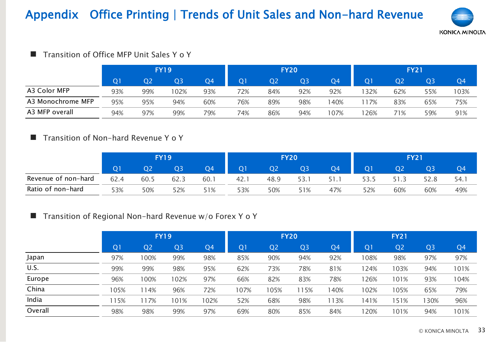# Appendix Office Printing | Trends of Unit Sales and Non-hard Revenue

![](_page_32_Picture_1.jpeg)

#### ■ Transition of Office MFP Unit Sales Y o Y

|                   | <b>FY19</b> |                |                |     |     | <b>FY20</b>    |                | <b>FY21</b> |                |                |                |                |
|-------------------|-------------|----------------|----------------|-----|-----|----------------|----------------|-------------|----------------|----------------|----------------|----------------|
|                   | Q1          | Q <sub>2</sub> | Q <sub>3</sub> | Q4  | O1  | Q <sub>2</sub> | Q <sub>3</sub> | Q4          | Q <sub>1</sub> | Q <sub>2</sub> | Q <sub>3</sub> | Q <sub>4</sub> |
| A3 Color MFP      | 93%         | 99%            | 02%            | 93% | 72% | 84%            | 92%            | 92%         | ' 32%          | 62%            | 55%            | 103%           |
| A3 Monochrome MFP | 95%         | 95%            | 94%            | 60% | 76% | 89%            | 98%            | 40%         | 17%            | 83%            | 65%            | 75%            |
| A3 MFP overall    | 94%         | 97%            | 99%            | 79% | 74% | 86%            | 94%            | 107%        | 26%            | 71%            | 59%            | 91%            |

#### ■ Transition of Non-hard Revenue Y o Y

|                     | FY 19        |      |      |     |                |      | <b>FY20</b> |     | <b>FY21</b>    |      |      |                |
|---------------------|--------------|------|------|-----|----------------|------|-------------|-----|----------------|------|------|----------------|
|                     | $\mathbf{O}$ | Q2   | Q3   | Q4  | Q <sub>1</sub> |      | Q3          | Q4  | Q <sub>1</sub> | Q2   | Q3   | Q <sub>4</sub> |
| Revenue of non-hard | 62.4         | 60.5 | 62.3 | 60. | 42.1           | 48.9 | 53.         |     | 53.5           | 51.3 | 52.8 | 54.1           |
| Ratio of non-hard   | 53%          | 50%  | 52%  | 51% | 53%            | 50%  | 51%         | 47% | 52%            | 60%  | 60%  | 49%            |

#### ■ Transition of Regional Non-hard Revenue w/o Forex Y o Y

| natio of fioli fialu                                               | 0⁄0 د          | <b>JU/0</b>    | コムパ            | J1/0           | 70⁄0           | O/UC           | J1/0           | 4170           | J 470          | O <sub>O</sub> | UU/0           | 4970           |
|--------------------------------------------------------------------|----------------|----------------|----------------|----------------|----------------|----------------|----------------|----------------|----------------|----------------|----------------|----------------|
| <b>The Transition of Regional Non-hard Revenue w/o Forex Y o Y</b> |                |                |                |                |                |                |                |                |                |                |                |                |
|                                                                    |                |                | <b>FY19</b>    |                |                |                | <b>FY20</b>    |                |                | <b>FY21</b>    |                |                |
|                                                                    | Q <sub>1</sub> | Q <sub>2</sub> | Q <sub>3</sub> | Q <sub>4</sub> | Q <sub>1</sub> | Q <sub>2</sub> | Q <sub>3</sub> | Q <sub>4</sub> | Q <sub>1</sub> | Q <sub>2</sub> | Q <sub>3</sub> | Q <sub>4</sub> |
| Japan                                                              | 97%            | 100%           | 99%            | 98%            | 85%            | 90%            | 94%            | 92%            | 108%           | 98%            | 97%            | 97%            |
| U.S.                                                               | 99%            | 99%            | 98%            | 95%            | 62%            | 73%            | 78%            | 81%            | 124%           | 103%           | 94%            | 101%           |
| Europe                                                             | 96%            | 100%           | 102%           | 97%            | 66%            | 82%            | 83%            | 78%            | 126%           | 101%           | 93%            | 104%           |
| China                                                              | 105%           | 114%           | 96%            | 72%            | 107%           | 105%           | 115%           | 140%           | 102%           | 105%           | 65%            | 79%            |
| India                                                              | 115%           | 117%           | 101%           | 102%           | 52%            | 68%            | 98%            | 113%           | 141%           | 151%           | 130%           | 96%            |
| Overall                                                            | 98%            | 98%            | 99%            | 97%            | 69%            | 80%            | 85%            | 84%            | 120%           | 101%           | 94%            | 101%           |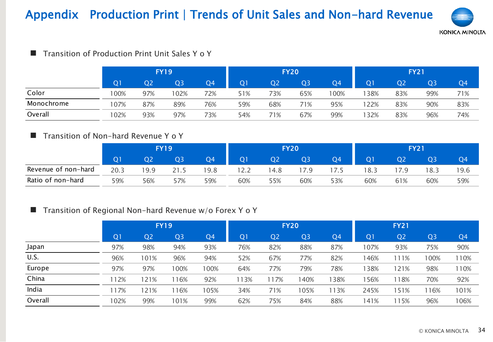# Appendix Production Print | Trends of Unit Sales and Non-hard Revenue

![](_page_33_Picture_1.jpeg)

| Transition of Production Print Unit Sales Y o Y |                |                |                |     |                |                |                |                |                |                |                | KONICA MINOLI |  |
|-------------------------------------------------|----------------|----------------|----------------|-----|----------------|----------------|----------------|----------------|----------------|----------------|----------------|---------------|--|
|                                                 |                |                | <b>FY19</b>    |     |                | <b>FY20</b>    |                |                |                | <b>FY21</b>    |                |               |  |
|                                                 | Q <sub>1</sub> | Q <sub>2</sub> | Q <sub>3</sub> | Q4  | Q <sub>1</sub> | Q <sub>2</sub> | Q <sub>3</sub> | Q <sub>4</sub> | Q <sub>1</sub> | Q <sub>2</sub> | Q <sub>3</sub> | Q4            |  |
| Color                                           | 100%           | 97%            | 102%           | 72% | 51%            | 73%            | 65%            | 100%           | 38%            | 83%            | 99%            | 71%           |  |
| Monochrome                                      | 107%           | 87%            | 89%            | 76% | 59%            | 68%            | 71%            | 95%            | 22%            | 83%            | 90%            | 83%           |  |
| Overall                                         | 102%           | 93%            | 97%            | 73% | 54%            | 71%            | 67%            | 99%            | 32%            | 83%            | 96%            | 74%           |  |

#### ■ Transition of Production Print Unit Sales Y o Y

#### ■ Transition of Non-hard Revenue Y o Y

|                     | FY 19          |      |     |                |                |                | <b>FY20</b>    |      | <b>FY21</b>    |                |      |                |
|---------------------|----------------|------|-----|----------------|----------------|----------------|----------------|------|----------------|----------------|------|----------------|
|                     | Q <sub>1</sub> | Q2   | Q3  | Q <sub>4</sub> | O <sub>1</sub> | Q <sub>2</sub> | Q <sub>3</sub> | Q4   | Q <sub>1</sub> | Q <sub>2</sub> | Q3   | Q <sub>4</sub> |
| Revenue of non-hard | 20.3           | 19.9 |     | 9.8            | 12.2           | 4.8            | 7.9            | 17.5 | 18.3           |                | 18.3 | 19.6           |
| Ratio of non-hard   | 59%            | 56%  | 57% | 59%            | 60%            | 55%            | 60%            | 53%  | 60%            | 61%            | 60%  | 59%            |

#### ■ Transition of Regional Non-hard Revenue w/o Forex Y o Y

| 59%            | 56%            | 57%            | 59%            | 60%            | 55%                                                     | 60%            | 53%            | 60%            | 61%            | 60%            | 59%            |
|----------------|----------------|----------------|----------------|----------------|---------------------------------------------------------|----------------|----------------|----------------|----------------|----------------|----------------|
|                |                |                |                |                |                                                         |                |                |                |                |                |                |
|                |                |                |                |                |                                                         |                |                |                | <b>FY21</b>    |                |                |
| Q <sub>1</sub> | Q <sub>2</sub> | Q <sub>3</sub> | Q <sub>4</sub> | Q <sub>1</sub> | Q <sub>2</sub>                                          | Q <sub>3</sub> | Q <sub>4</sub> | Q <sub>1</sub> | Q <sub>2</sub> | Q <sub>3</sub> | Q <sub>4</sub> |
| 97%            | 98%            | 94%            | 93%            | 76%            | 82%                                                     | 88%            | 87%            | 107%           | 93%            | 75%            | 90%            |
| 96%            | 101%           | 96%            | 94%            | 52%            | 67%                                                     | 77%            | 82%            | 146%           | 111%           | 100%           | 110%           |
| 97%            | 97%            | 100%           | 100%           | 64%            | 77%                                                     | 79%            | 78%            | 138%           | 121%           | 98%            | 110%           |
| 112%           | 121%           | 116%           | 92%            | 113%           | 117%                                                    | 140%           | 138%           | 156%           | 118%           | 70%            | 92%            |
| 117%           | 121%           | 116%           | 105%           | 34%            | 71%                                                     | 105%           | 113%           | 245%           | 151%           | 116%           | 101%           |
| 102%           | 99%            | 101%           | 99%            | 62%            | 75%                                                     | 84%            | 88%            | 141%           | 115%           | 96%            | 106%           |
|                |                |                | <b>FY19</b>    |                | Transition of Regional Non-hard Revenue w/o Forex Y o Y |                | <b>FY20</b>    |                |                |                |                |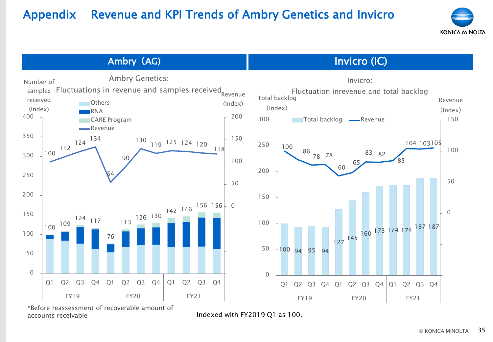### Appendix Revenue and KPI Trends of Ambry Genetics and Invicro

![](_page_34_Picture_1.jpeg)

**Ambry** (AG) **Invicro (IC) Invicro (IC)** 

![](_page_34_Figure_3.jpeg)

accounts receivable **Indexed with FY2019 Q1** as 100.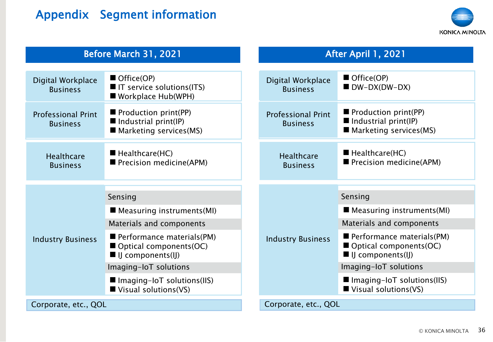# Appendix Segment information

![](_page_35_Picture_1.jpeg)

#### Before March 31, 2021 **After April 1, 2021**

| Digital Workplace<br><b>Business</b>         | Office(OP)<br>■ IT service solutions(ITS)<br>■ Workplace Hub(WPH)                        |  | Digital Workplace<br><b>Business</b>         | Office(OP)<br>$\blacksquare$ DW-DX(DW-DX)                                              |  |  |  |
|----------------------------------------------|------------------------------------------------------------------------------------------|--|----------------------------------------------|----------------------------------------------------------------------------------------|--|--|--|
| <b>Professional Print</b><br><b>Business</b> | Production print(PP)<br>$\blacksquare$ Industrial print(IP)<br>Marketing services (MS)   |  | <b>Professional Print</b><br><b>Business</b> | Production print(PP)<br>$\blacksquare$ Industrial print(IP)<br>Marketing services (MS) |  |  |  |
| <b>Healthcare</b><br><b>Business</b>         | $\blacksquare$ Healthcare(HC)<br>■ Precision medicine(APM)                               |  | <b>Healthcare</b><br><b>Business</b>         | $\blacksquare$ Healthcare(HC)<br>Precision medicine(APM)                               |  |  |  |
|                                              |                                                                                          |  |                                              |                                                                                        |  |  |  |
|                                              | Sensing                                                                                  |  |                                              | Sensing                                                                                |  |  |  |
|                                              | $\blacksquare$ Measuring instruments (MI)                                                |  |                                              | Measuring instruments (MI)                                                             |  |  |  |
|                                              | Materials and components                                                                 |  |                                              | Materials and components                                                               |  |  |  |
| <b>Industry Business</b>                     | Performance materials (PM)<br>Optical components(OC)<br>$\blacksquare$ IJ components(IJ) |  | <b>Industry Business</b>                     | Performance materials (PM)<br>Optical components(OC)<br>I IJ components(IJ)            |  |  |  |
|                                              | Imaging-IoT solutions                                                                    |  |                                              | Imaging-IoT solutions                                                                  |  |  |  |
|                                              | ■ Imaging-IoT solutions(IIS)<br>$\blacksquare$ Visual solutions(VS)                      |  |                                              | ■ Imaging-IoT solutions(IIS)<br>$\blacksquare$ Visual solutions(VS)                    |  |  |  |
| Corporate, etc., QOL                         |                                                                                          |  | Corporate, etc., QOL                         |                                                                                        |  |  |  |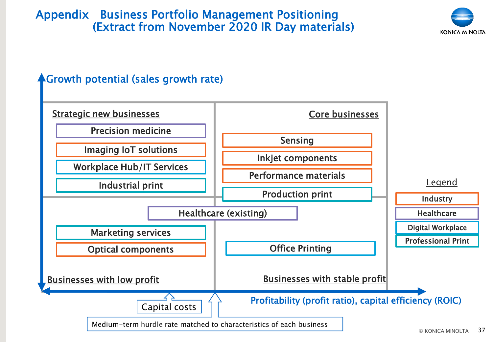### Appendix Business Portfolio Management Positioning (Extract from November 2020 IR Day materials)

![](_page_36_Picture_1.jpeg)

### **AGrowth potential (sales growth rate)**

![](_page_36_Figure_3.jpeg)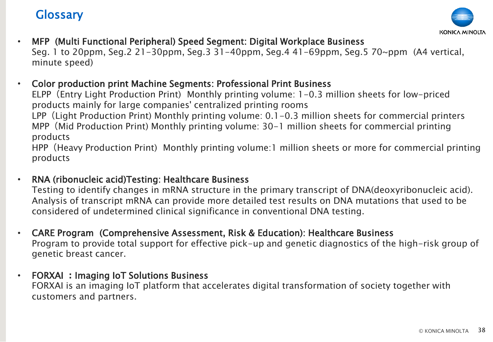### **Glossary**

![](_page_37_Picture_1.jpeg)

- MFP (Multi Functional Peripheral) Speed Segment: Digital Workplace Business Seg. 1 to 20ppm, Seg.2 21-30ppm, Seg.3 31-40ppm, Seg.4 41-69ppm, Seg.5 70~ppm (A4 vertical, minute speed)
- Color production print Machine Segments: Professional Print Business

ELPP(Entry Light Production Print) Monthly printing volume: 1-0.3 million sheets for low-priced products mainly for large companies' centralized printing rooms

LPP (Light Production Print) Monthly printing volume: 0.1-0.3 million sheets for commercial printers MPP(Mid Production Print) Monthly printing volume: 30-1 million sheets for commercial printing products

HPP(Heavy Production Print) Monthly printing volume:1 million sheets or more for commercial printing products

• RNA (ribonucleic acid)Testing: Healthcare Business

Testing to identify changes in mRNA structure in the primary transcript of DNA(deoxyribonucleic acid). Analysis of transcript mRNA can provide more detailed test results on DNA mutations that used to be considered of undetermined clinical significance in conventional DNA testing.

- CARE Program (Comprehensive Assessment, Risk & Education): Healthcare Business Program to provide total support for effective pick-up and genetic diagnostics of the high-risk group of genetic breast cancer.
- FORXAI **:**Imaging IoT Solutions Business FORXAI is an imaging IoT platform that accelerates digital transformation of society together with customers and partners.